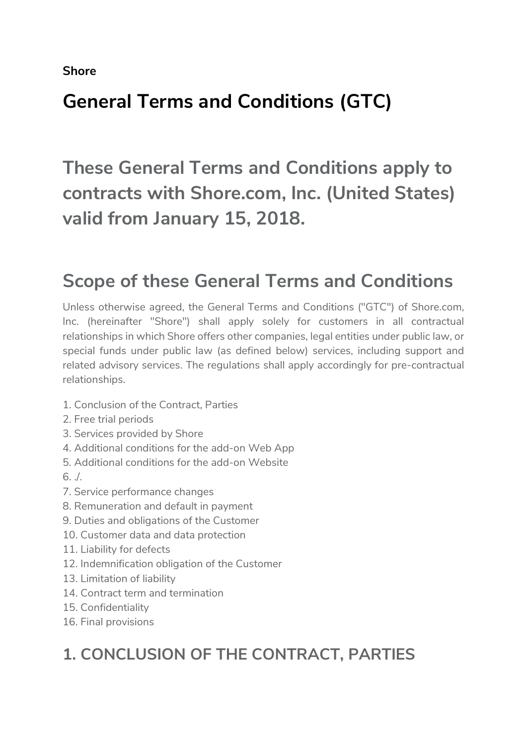Shore

# General Terms and Conditions (GTC)

These General Terms and Conditions apply to contracts with Shore.com, Inc. (United States) valid from January 15, 2018.

## Scope of these General Terms and Conditions

Unless otherwise agreed, the General Terms and Conditions ("GTC") of Shore.com, Inc. (hereinafter "Shore") shall apply solely for customers in all contractual relationships in which Shore offers other companies, legal entities under public law, or special funds under public law (as defined below) services, including support and related advisory services. The regulations shall apply accordingly for pre-contractual relationships.

- 1. Conclusion of the Contract, Parties
- 2. Free trial periods
- 3. Services provided by Shore
- 4. Additional conditions for the add-on Web App
- 5. Additional conditions for the add-on Website
- 6. ./.
- 7. Service performance changes
- 8. Remuneration and default in payment
- 9. Duties and obligations of the Customer
- 10. Customer data and data protection
- 11. Liability for defects
- 12. Indemnification obligation of the Customer
- 13. Limitation of liability
- 14. Contract term and termination
- 15. Confidentiality
- 16. Final provisions

### 1. CONCLUSION OF THE CONTRACT, PARTIES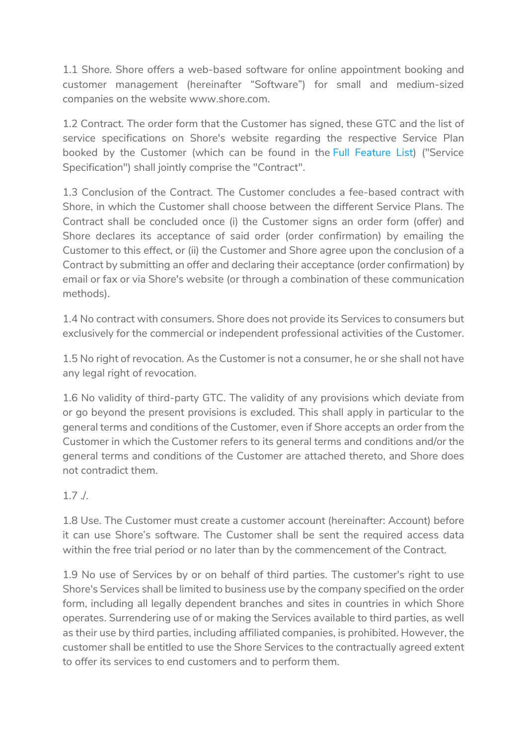1.1 Shore. Shore offers a web-based software for online appointment booking and customer management (hereinafter "Software") for small and medium-sized companies on the website www.shore.com.

1.2 Contract. The order form that the Customer has signed, these GTC and the list of service specifications on Shore's website regarding the respective Service Plan booked by the Customer (which can be found in the Full Feature List) ("Service Specification") shall jointly comprise the "Contract".

1.3 Conclusion of the Contract. The Customer concludes a fee-based contract with Shore, in which the Customer shall choose between the different Service Plans. The Contract shall be concluded once (i) the Customer signs an order form (offer) and Shore declares its acceptance of said order (order confirmation) by emailing the Customer to this effect, or (ii) the Customer and Shore agree upon the conclusion of a Contract by submitting an offer and declaring their acceptance (order confirmation) by email or fax or via Shore's website (or through a combination of these communication methods).

1.4 No contract with consumers. Shore does not provide its Services to consumers but exclusively for the commercial or independent professional activities of the Customer.

1.5 No right of revocation. As the Customer is not a consumer, he or she shall not have any legal right of revocation.

1.6 No validity of third-party GTC. The validity of any provisions which deviate from or go beyond the present provisions is excluded. This shall apply in particular to the general terms and conditions of the Customer, even if Shore accepts an order from the Customer in which the Customer refers to its general terms and conditions and/or the general terms and conditions of the Customer are attached thereto, and Shore does not contradict them.

#### 1.7 ./.

1.8 Use. The Customer must create a customer account (hereinafter: Account) before it can use Shore's software. The Customer shall be sent the required access data within the free trial period or no later than by the commencement of the Contract.

1.9 No use of Services by or on behalf of third parties. The customer's right to use Shore's Services shall be limited to business use by the company specified on the order form, including all legally dependent branches and sites in countries in which Shore operates. Surrendering use of or making the Services available to third parties, as well as their use by third parties, including affiliated companies, is prohibited. However, the customer shall be entitled to use the Shore Services to the contractually agreed extent to offer its services to end customers and to perform them.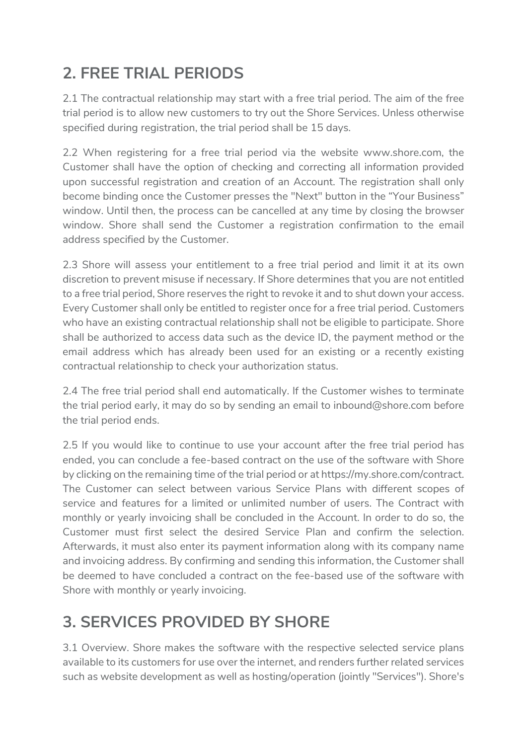## 2. FREE TRIAL PERIODS

2.1 The contractual relationship may start with a free trial period. The aim of the free trial period is to allow new customers to try out the Shore Services. Unless otherwise specified during registration, the trial period shall be 15 days.

2.2 When registering for a free trial period via the website www.shore.com, the Customer shall have the option of checking and correcting all information provided upon successful registration and creation of an Account. The registration shall only become binding once the Customer presses the "Next" button in the "Your Business" window. Until then, the process can be cancelled at any time by closing the browser window. Shore shall send the Customer a registration confirmation to the email address specified by the Customer.

2.3 Shore will assess your entitlement to a free trial period and limit it at its own discretion to prevent misuse if necessary. If Shore determines that you are not entitled to a free trial period, Shore reserves the right to revoke it and to shut down your access. Every Customer shall only be entitled to register once for a free trial period. Customers who have an existing contractual relationship shall not be eligible to participate. Shore shall be authorized to access data such as the device ID, the payment method or the email address which has already been used for an existing or a recently existing contractual relationship to check your authorization status.

2.4 The free trial period shall end automatically. If the Customer wishes to terminate the trial period early, it may do so by sending an email to inbound@shore.com before the trial period ends.

2.5 If you would like to continue to use your account after the free trial period has ended, you can conclude a fee-based contract on the use of the software with Shore by clicking on the remaining time of the trial period or at https://my.shore.com/contract. The Customer can select between various Service Plans with different scopes of service and features for a limited or unlimited number of users. The Contract with monthly or yearly invoicing shall be concluded in the Account. In order to do so, the Customer must first select the desired Service Plan and confirm the selection. Afterwards, it must also enter its payment information along with its company name and invoicing address. By confirming and sending this information, the Customer shall be deemed to have concluded a contract on the fee-based use of the software with Shore with monthly or yearly invoicing.

## 3. SERVICES PROVIDED BY SHORE

3.1 Overview. Shore makes the software with the respective selected service plans available to its customers for use over the internet, and renders further related services such as website development as well as hosting/operation (jointly "Services"). Shore's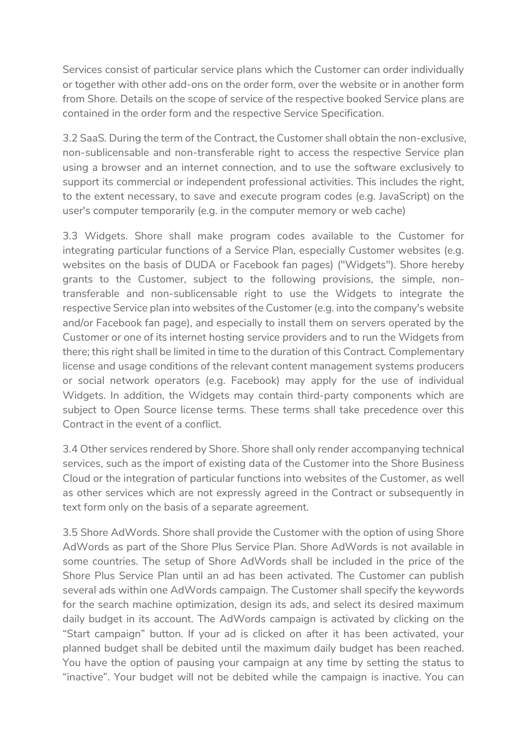Services consist of particular service plans which the Customer can order individually or together with other add-ons on the order form, over the website or in another form from Shore. Details on the scope of service of the respective booked Service plans are contained in the order form and the respective Service Specification.

3.2 SaaS. During the term of the Contract, the Customer shall obtain the non-exclusive, non-sublicensable and non-transferable right to access the respective Service plan using a browser and an internet connection, and to use the software exclusively to support its commercial or independent professional activities. This includes the right, to the extent necessary, to save and execute program codes (e.g. JavaScript) on the user's computer temporarily (e.g. in the computer memory or web cache)

3.3 Widgets. Shore shall make program codes available to the Customer for integrating particular functions of a Service Plan, especially Customer websites (e.g. websites on the basis of DUDA or Facebook fan pages) ("Widgets"). Shore hereby grants to the Customer, subject to the following provisions, the simple, nontransferable and non-sublicensable right to use the Widgets to integrate the respective Service plan into websites of the Customer (e.g. into the company's website and/or Facebook fan page), and especially to install them on servers operated by the Customer or one of its internet hosting service providers and to run the Widgets from there; this right shall be limited in time to the duration of this Contract. Complementary license and usage conditions of the relevant content management systems producers or social network operators (e.g. Facebook) may apply for the use of individual Widgets. In addition, the Widgets may contain third-party components which are subject to Open Source license terms. These terms shall take precedence over this Contract in the event of a conflict.

3.4 Other services rendered by Shore. Shore shall only render accompanying technical services, such as the import of existing data of the Customer into the Shore Business Cloud or the integration of particular functions into websites of the Customer, as well as other services which are not expressly agreed in the Contract or subsequently in text form only on the basis of a separate agreement.

3.5 Shore AdWords. Shore shall provide the Customer with the option of using Shore AdWords as part of the Shore Plus Service Plan. Shore AdWords is not available in some countries. The setup of Shore AdWords shall be included in the price of the Shore Plus Service Plan until an ad has been activated. The Customer can publish several ads within one AdWords campaign. The Customer shall specify the keywords for the search machine optimization, design its ads, and select its desired maximum daily budget in its account. The AdWords campaign is activated by clicking on the "Start campaign" button. If your ad is clicked on after it has been activated, your planned budget shall be debited until the maximum daily budget has been reached. You have the option of pausing your campaign at any time by setting the status to "inactive". Your budget will not be debited while the campaign is inactive. You can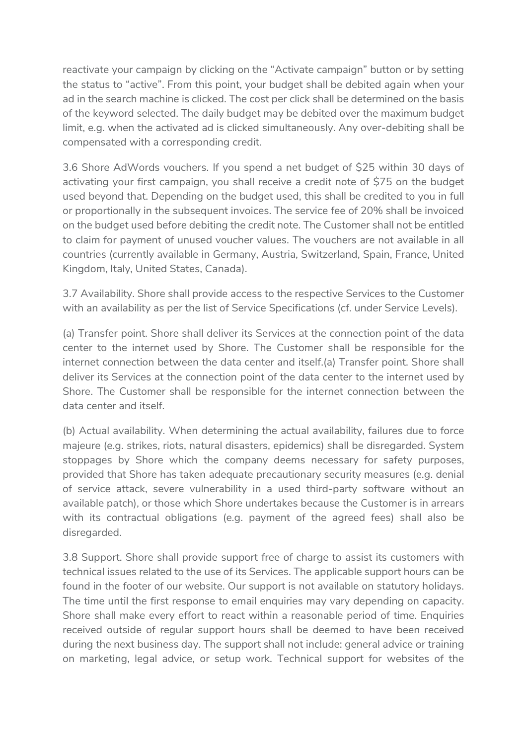reactivate your campaign by clicking on the "Activate campaign" button or by setting the status to "active". From this point, your budget shall be debited again when your ad in the search machine is clicked. The cost per click shall be determined on the basis of the keyword selected. The daily budget may be debited over the maximum budget limit, e.g. when the activated ad is clicked simultaneously. Any over-debiting shall be compensated with a corresponding credit.

3.6 Shore AdWords vouchers. If you spend a net budget of \$25 within 30 days of activating your first campaign, you shall receive a credit note of \$75 on the budget used beyond that. Depending on the budget used, this shall be credited to you in full or proportionally in the subsequent invoices. The service fee of 20% shall be invoiced on the budget used before debiting the credit note. The Customer shall not be entitled to claim for payment of unused voucher values. The vouchers are not available in all countries (currently available in Germany, Austria, Switzerland, Spain, France, United Kingdom, Italy, United States, Canada).

3.7 Availability. Shore shall provide access to the respective Services to the Customer with an availability as per the list of Service Specifications (cf. under Service Levels).

(a) Transfer point. Shore shall deliver its Services at the connection point of the data center to the internet used by Shore. The Customer shall be responsible for the internet connection between the data center and itself.(a) Transfer point. Shore shall deliver its Services at the connection point of the data center to the internet used by Shore. The Customer shall be responsible for the internet connection between the data center and itself.

(b) Actual availability. When determining the actual availability, failures due to force majeure (e.g. strikes, riots, natural disasters, epidemics) shall be disregarded. System stoppages by Shore which the company deems necessary for safety purposes, provided that Shore has taken adequate precautionary security measures (e.g. denial of service attack, severe vulnerability in a used third-party software without an available patch), or those which Shore undertakes because the Customer is in arrears with its contractual obligations (e.g. payment of the agreed fees) shall also be disregarded.

3.8 Support. Shore shall provide support free of charge to assist its customers with technical issues related to the use of its Services. The applicable support hours can be found in the footer of our website. Our support is not available on statutory holidays. The time until the first response to email enquiries may vary depending on capacity. Shore shall make every effort to react within a reasonable period of time. Enquiries received outside of regular support hours shall be deemed to have been received during the next business day. The support shall not include: general advice or training on marketing, legal advice, or setup work. Technical support for websites of the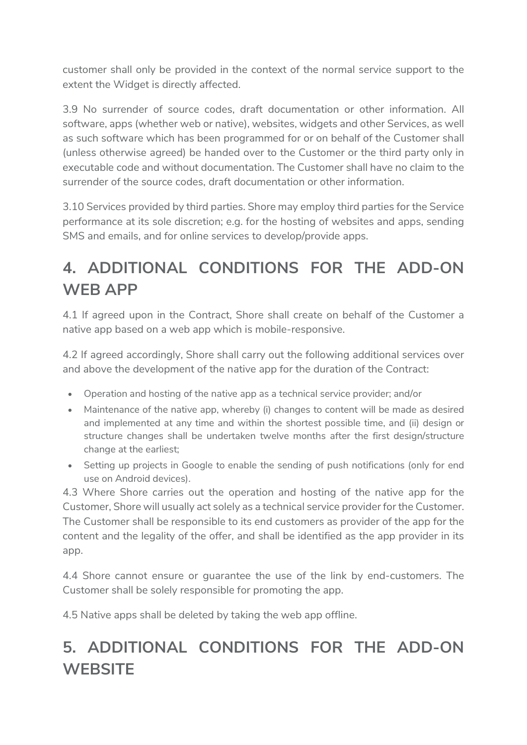customer shall only be provided in the context of the normal service support to the extent the Widget is directly affected.

3.9 No surrender of source codes, draft documentation or other information. All software, apps (whether web or native), websites, widgets and other Services, as well as such software which has been programmed for or on behalf of the Customer shall (unless otherwise agreed) be handed over to the Customer or the third party only in executable code and without documentation. The Customer shall have no claim to the surrender of the source codes, draft documentation or other information.

3.10 Services provided by third parties. Shore may employ third parties for the Service performance at its sole discretion; e.g. for the hosting of websites and apps, sending SMS and emails, and for online services to develop/provide apps.

## 4. ADDITIONAL CONDITIONS FOR THE ADD-ON WEB APP

4.1 If agreed upon in the Contract, Shore shall create on behalf of the Customer a native app based on a web app which is mobile-responsive.

4.2 If agreed accordingly, Shore shall carry out the following additional services over and above the development of the native app for the duration of the Contract:

- Operation and hosting of the native app as a technical service provider; and/or
- Maintenance of the native app, whereby (i) changes to content will be made as desired and implemented at any time and within the shortest possible time, and (ii) design or structure changes shall be undertaken twelve months after the first design/structure change at the earliest;
- Setting up projects in Google to enable the sending of push notifications (only for end use on Android devices).

4.3 Where Shore carries out the operation and hosting of the native app for the Customer, Shore will usually act solely as a technical service provider for the Customer. The Customer shall be responsible to its end customers as provider of the app for the content and the legality of the offer, and shall be identified as the app provider in its app.

4.4 Shore cannot ensure or guarantee the use of the link by end-customers. The Customer shall be solely responsible for promoting the app.

4.5 Native apps shall be deleted by taking the web app offline.

## 5. ADDITIONAL CONDITIONS FOR THE ADD-ON **WEBSITE**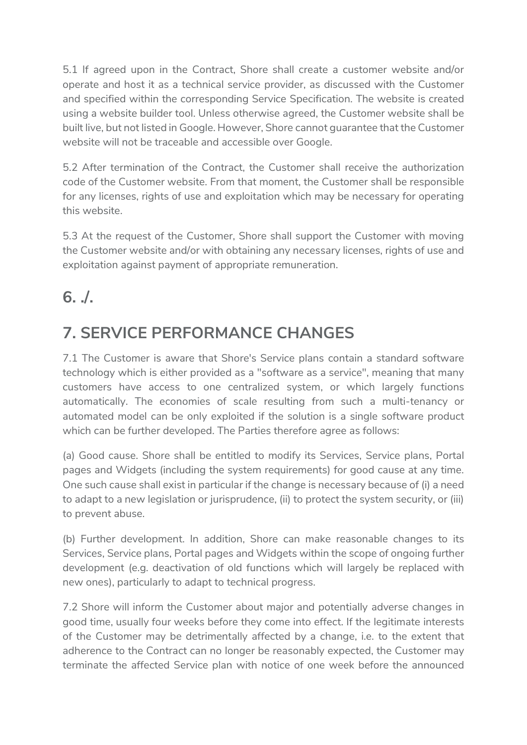5.1 If agreed upon in the Contract, Shore shall create a customer website and/or operate and host it as a technical service provider, as discussed with the Customer and specified within the corresponding Service Specification. The website is created using a website builder tool. Unless otherwise agreed, the Customer website shall be built live, but not listed in Google. However, Shore cannot guarantee that the Customer website will not be traceable and accessible over Google.

5.2 After termination of the Contract, the Customer shall receive the authorization code of the Customer website. From that moment, the Customer shall be responsible for any licenses, rights of use and exploitation which may be necessary for operating this website.

5.3 At the request of the Customer, Shore shall support the Customer with moving the Customer website and/or with obtaining any necessary licenses, rights of use and exploitation against payment of appropriate remuneration.

#### 6. ./.

## 7. SERVICE PERFORMANCE CHANGES

7.1 The Customer is aware that Shore's Service plans contain a standard software technology which is either provided as a "software as a service", meaning that many customers have access to one centralized system, or which largely functions automatically. The economies of scale resulting from such a multi-tenancy or automated model can be only exploited if the solution is a single software product which can be further developed. The Parties therefore agree as follows:

(a) Good cause. Shore shall be entitled to modify its Services, Service plans, Portal pages and Widgets (including the system requirements) for good cause at any time. One such cause shall exist in particular if the change is necessary because of (i) a need to adapt to a new legislation or jurisprudence, (ii) to protect the system security, or (iii) to prevent abuse.

(b) Further development. In addition, Shore can make reasonable changes to its Services, Service plans, Portal pages and Widgets within the scope of ongoing further development (e.g. deactivation of old functions which will largely be replaced with new ones), particularly to adapt to technical progress.

7.2 Shore will inform the Customer about major and potentially adverse changes in good time, usually four weeks before they come into effect. If the legitimate interests of the Customer may be detrimentally affected by a change, i.e. to the extent that adherence to the Contract can no longer be reasonably expected, the Customer may terminate the affected Service plan with notice of one week before the announced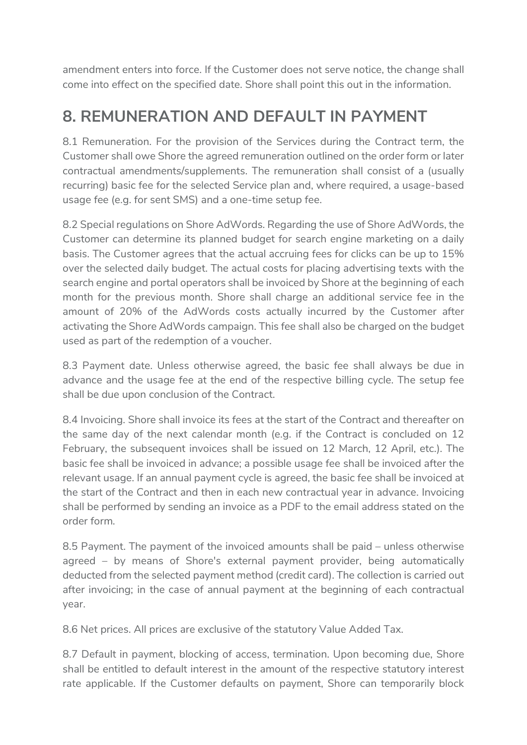amendment enters into force. If the Customer does not serve notice, the change shall come into effect on the specified date. Shore shall point this out in the information.

#### 8. REMUNERATION AND DEFAULT IN PAYMENT

8.1 Remuneration. For the provision of the Services during the Contract term, the Customer shall owe Shore the agreed remuneration outlined on the order form or later contractual amendments/supplements. The remuneration shall consist of a (usually recurring) basic fee for the selected Service plan and, where required, a usage-based usage fee (e.g. for sent SMS) and a one-time setup fee.

8.2 Special regulations on Shore AdWords. Regarding the use of Shore AdWords, the Customer can determine its planned budget for search engine marketing on a daily basis. The Customer agrees that the actual accruing fees for clicks can be up to 15% over the selected daily budget. The actual costs for placing advertising texts with the search engine and portal operators shall be invoiced by Shore at the beginning of each month for the previous month. Shore shall charge an additional service fee in the amount of 20% of the AdWords costs actually incurred by the Customer after activating the Shore AdWords campaign. This fee shall also be charged on the budget used as part of the redemption of a voucher.

8.3 Payment date. Unless otherwise agreed, the basic fee shall always be due in advance and the usage fee at the end of the respective billing cycle. The setup fee shall be due upon conclusion of the Contract.

8.4 Invoicing. Shore shall invoice its fees at the start of the Contract and thereafter on the same day of the next calendar month (e.g. if the Contract is concluded on 12 February, the subsequent invoices shall be issued on 12 March, 12 April, etc.). The basic fee shall be invoiced in advance; a possible usage fee shall be invoiced after the relevant usage. If an annual payment cycle is agreed, the basic fee shall be invoiced at the start of the Contract and then in each new contractual year in advance. Invoicing shall be performed by sending an invoice as a PDF to the email address stated on the order form.

8.5 Payment. The payment of the invoiced amounts shall be paid – unless otherwise agreed – by means of Shore's external payment provider, being automatically deducted from the selected payment method (credit card). The collection is carried out after invoicing; in the case of annual payment at the beginning of each contractual year.

8.6 Net prices. All prices are exclusive of the statutory Value Added Tax.

8.7 Default in payment, blocking of access, termination. Upon becoming due, Shore shall be entitled to default interest in the amount of the respective statutory interest rate applicable. If the Customer defaults on payment, Shore can temporarily block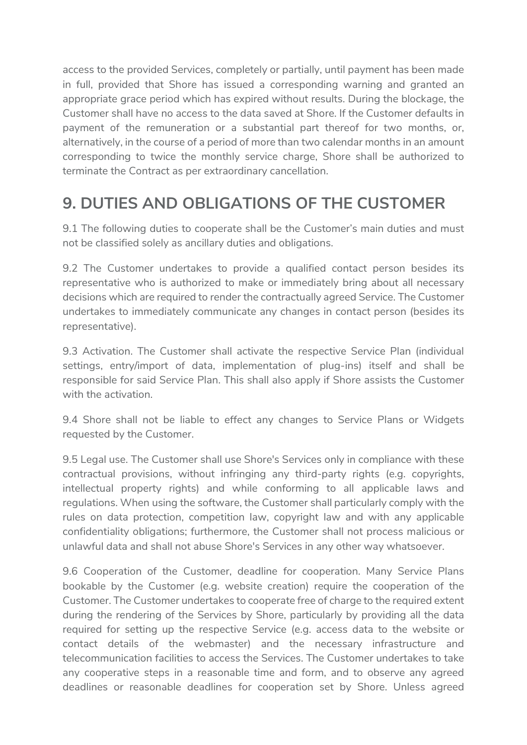access to the provided Services, completely or partially, until payment has been made in full, provided that Shore has issued a corresponding warning and granted an appropriate grace period which has expired without results. During the blockage, the Customer shall have no access to the data saved at Shore. If the Customer defaults in payment of the remuneration or a substantial part thereof for two months, or, alternatively, in the course of a period of more than two calendar months in an amount corresponding to twice the monthly service charge, Shore shall be authorized to terminate the Contract as per extraordinary cancellation.

#### 9. DUTIES AND OBLIGATIONS OF THE CUSTOMER

9.1 The following duties to cooperate shall be the Customer's main duties and must not be classified solely as ancillary duties and obligations.

9.2 The Customer undertakes to provide a qualified contact person besides its representative who is authorized to make or immediately bring about all necessary decisions which are required to render the contractually agreed Service. The Customer undertakes to immediately communicate any changes in contact person (besides its representative).

9.3 Activation. The Customer shall activate the respective Service Plan (individual settings, entry/import of data, implementation of plug-ins) itself and shall be responsible for said Service Plan. This shall also apply if Shore assists the Customer with the activation.

9.4 Shore shall not be liable to effect any changes to Service Plans or Widgets requested by the Customer.

9.5 Legal use. The Customer shall use Shore's Services only in compliance with these contractual provisions, without infringing any third-party rights (e.g. copyrights, intellectual property rights) and while conforming to all applicable laws and regulations. When using the software, the Customer shall particularly comply with the rules on data protection, competition law, copyright law and with any applicable confidentiality obligations; furthermore, the Customer shall not process malicious or unlawful data and shall not abuse Shore's Services in any other way whatsoever.

9.6 Cooperation of the Customer, deadline for cooperation. Many Service Plans bookable by the Customer (e.g. website creation) require the cooperation of the Customer. The Customer undertakes to cooperate free of charge to the required extent during the rendering of the Services by Shore, particularly by providing all the data required for setting up the respective Service (e.g. access data to the website or contact details of the webmaster) and the necessary infrastructure and telecommunication facilities to access the Services. The Customer undertakes to take any cooperative steps in a reasonable time and form, and to observe any agreed deadlines or reasonable deadlines for cooperation set by Shore. Unless agreed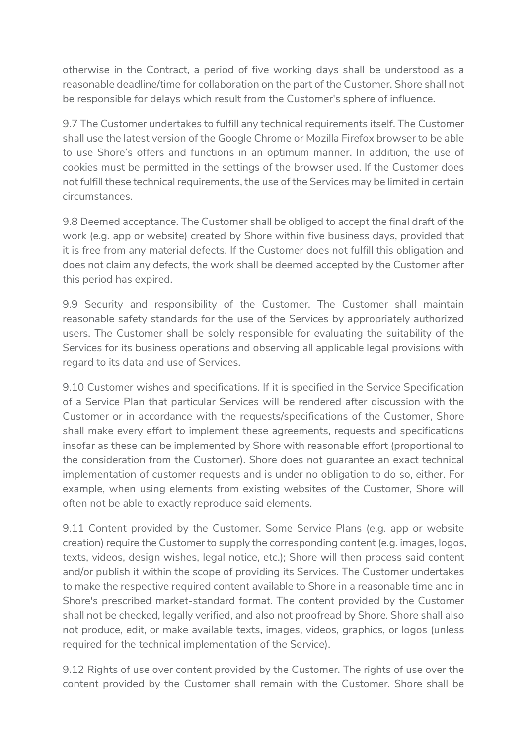otherwise in the Contract, a period of five working days shall be understood as a reasonable deadline/time for collaboration on the part of the Customer. Shore shall not be responsible for delays which result from the Customer's sphere of influence.

9.7 The Customer undertakes to fulfill any technical requirements itself. The Customer shall use the latest version of the Google Chrome or Mozilla Firefox browser to be able to use Shore's offers and functions in an optimum manner. In addition, the use of cookies must be permitted in the settings of the browser used. If the Customer does not fulfill these technical requirements, the use of the Services may be limited in certain circumstances.

9.8 Deemed acceptance. The Customer shall be obliged to accept the final draft of the work (e.g. app or website) created by Shore within five business days, provided that it is free from any material defects. If the Customer does not fulfill this obligation and does not claim any defects, the work shall be deemed accepted by the Customer after this period has expired.

9.9 Security and responsibility of the Customer. The Customer shall maintain reasonable safety standards for the use of the Services by appropriately authorized users. The Customer shall be solely responsible for evaluating the suitability of the Services for its business operations and observing all applicable legal provisions with regard to its data and use of Services.

9.10 Customer wishes and specifications. If it is specified in the Service Specification of a Service Plan that particular Services will be rendered after discussion with the Customer or in accordance with the requests/specifications of the Customer, Shore shall make every effort to implement these agreements, requests and specifications insofar as these can be implemented by Shore with reasonable effort (proportional to the consideration from the Customer). Shore does not guarantee an exact technical implementation of customer requests and is under no obligation to do so, either. For example, when using elements from existing websites of the Customer, Shore will often not be able to exactly reproduce said elements.

9.11 Content provided by the Customer. Some Service Plans (e.g. app or website creation) require the Customer to supply the corresponding content (e.g. images, logos, texts, videos, design wishes, legal notice, etc.); Shore will then process said content and/or publish it within the scope of providing its Services. The Customer undertakes to make the respective required content available to Shore in a reasonable time and in Shore's prescribed market-standard format. The content provided by the Customer shall not be checked, legally verified, and also not proofread by Shore. Shore shall also not produce, edit, or make available texts, images, videos, graphics, or logos (unless required for the technical implementation of the Service).

9.12 Rights of use over content provided by the Customer. The rights of use over the content provided by the Customer shall remain with the Customer. Shore shall be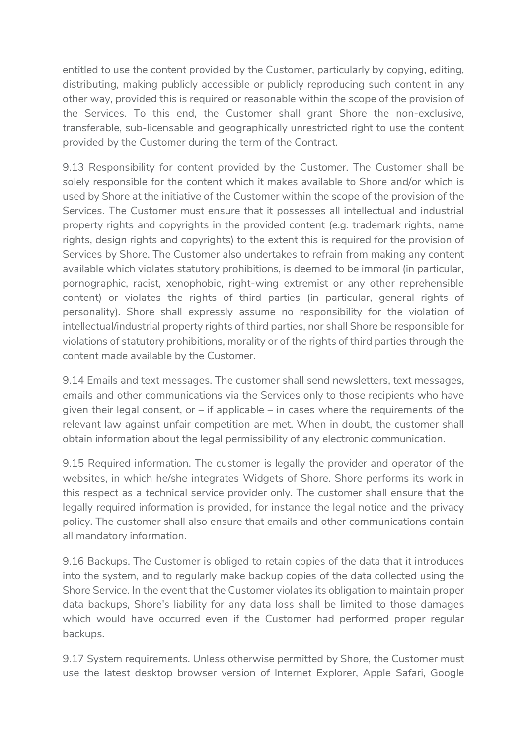entitled to use the content provided by the Customer, particularly by copying, editing, distributing, making publicly accessible or publicly reproducing such content in any other way, provided this is required or reasonable within the scope of the provision of the Services. To this end, the Customer shall grant Shore the non-exclusive, transferable, sub-licensable and geographically unrestricted right to use the content provided by the Customer during the term of the Contract.

9.13 Responsibility for content provided by the Customer. The Customer shall be solely responsible for the content which it makes available to Shore and/or which is used by Shore at the initiative of the Customer within the scope of the provision of the Services. The Customer must ensure that it possesses all intellectual and industrial property rights and copyrights in the provided content (e.g. trademark rights, name rights, design rights and copyrights) to the extent this is required for the provision of Services by Shore. The Customer also undertakes to refrain from making any content available which violates statutory prohibitions, is deemed to be immoral (in particular, pornographic, racist, xenophobic, right-wing extremist or any other reprehensible content) or violates the rights of third parties (in particular, general rights of personality). Shore shall expressly assume no responsibility for the violation of intellectual/industrial property rights of third parties, nor shall Shore be responsible for violations of statutory prohibitions, morality or of the rights of third parties through the content made available by the Customer.

9.14 Emails and text messages. The customer shall send newsletters, text messages, emails and other communications via the Services only to those recipients who have given their legal consent, or – if applicable – in cases where the requirements of the relevant law against unfair competition are met. When in doubt, the customer shall obtain information about the legal permissibility of any electronic communication.

9.15 Required information. The customer is legally the provider and operator of the websites, in which he/she integrates Widgets of Shore. Shore performs its work in this respect as a technical service provider only. The customer shall ensure that the legally required information is provided, for instance the legal notice and the privacy policy. The customer shall also ensure that emails and other communications contain all mandatory information.

9.16 Backups. The Customer is obliged to retain copies of the data that it introduces into the system, and to regularly make backup copies of the data collected using the Shore Service. In the event that the Customer violates its obligation to maintain proper data backups, Shore's liability for any data loss shall be limited to those damages which would have occurred even if the Customer had performed proper regular backups.

9.17 System requirements. Unless otherwise permitted by Shore, the Customer must use the latest desktop browser version of Internet Explorer, Apple Safari, Google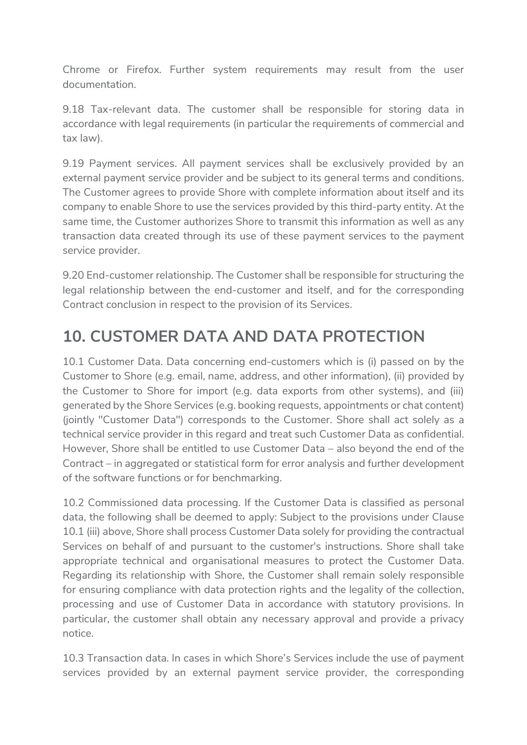Chrome or Firefox. Further system requirements may result from the user documentation.

9.18 Tax-relevant data. The customer shall be responsible for storing data in accordance with legal requirements (in particular the requirements of commercial and tax law).

9.19 Payment services. All payment services shall be exclusively provided by an external payment service provider and be subject to its general terms and conditions. The Customer agrees to provide Shore with complete information about itself and its company to enable Shore to use the services provided by this third-party entity. At the same time, the Customer authorizes Shore to transmit this information as well as any transaction data created through its use of these payment services to the payment service provider.

9.20 End-customer relationship. The Customer shall be responsible for structuring the legal relationship between the end-customer and itself, and for the corresponding Contract conclusion in respect to the provision of its Services.

### 10. CUSTOMER DATA AND DATA PROTECTION

10.1 Customer Data. Data concerning end-customers which is (i) passed on by the Customer to Shore (e.g. email, name, address, and other information), (ii) provided by the Customer to Shore for import (e.g. data exports from other systems), and (iii) generated by the Shore Services (e.g. booking requests, appointments or chat content) (jointly "Customer Data") corresponds to the Customer. Shore shall act solely as a technical service provider in this regard and treat such Customer Data as confidential. However, Shore shall be entitled to use Customer Data – also beyond the end of the Contract – in aggregated or statistical form for error analysis and further development of the software functions or for benchmarking.

10.2 Commissioned data processing. If the Customer Data is classified as personal data, the following shall be deemed to apply: Subject to the provisions under Clause 10.1 (iii) above, Shore shall process Customer Data solely for providing the contractual Services on behalf of and pursuant to the customer's instructions. Shore shall take appropriate technical and organisational measures to protect the Customer Data. Regarding its relationship with Shore, the Customer shall remain solely responsible for ensuring compliance with data protection rights and the legality of the collection, processing and use of Customer Data in accordance with statutory provisions. In particular, the customer shall obtain any necessary approval and provide a privacy notice.

10.3 Transaction data. In cases in which Shore's Services include the use of payment services provided by an external payment service provider, the corresponding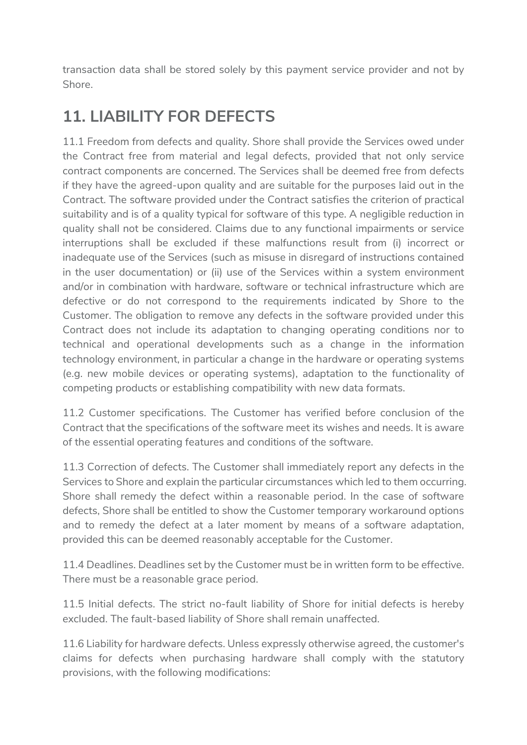transaction data shall be stored solely by this payment service provider and not by Shore.

### 11. LIABILITY FOR DEFECTS

11.1 Freedom from defects and quality. Shore shall provide the Services owed under the Contract free from material and legal defects, provided that not only service contract components are concerned. The Services shall be deemed free from defects if they have the agreed-upon quality and are suitable for the purposes laid out in the Contract. The software provided under the Contract satisfies the criterion of practical suitability and is of a quality typical for software of this type. A negligible reduction in quality shall not be considered. Claims due to any functional impairments or service interruptions shall be excluded if these malfunctions result from (i) incorrect or inadequate use of the Services (such as misuse in disregard of instructions contained in the user documentation) or (ii) use of the Services within a system environment and/or in combination with hardware, software or technical infrastructure which are defective or do not correspond to the requirements indicated by Shore to the Customer. The obligation to remove any defects in the software provided under this Contract does not include its adaptation to changing operating conditions nor to technical and operational developments such as a change in the information technology environment, in particular a change in the hardware or operating systems (e.g. new mobile devices or operating systems), adaptation to the functionality of competing products or establishing compatibility with new data formats.

11.2 Customer specifications. The Customer has verified before conclusion of the Contract that the specifications of the software meet its wishes and needs. It is aware of the essential operating features and conditions of the software.

11.3 Correction of defects. The Customer shall immediately report any defects in the Services to Shore and explain the particular circumstances which led to them occurring. Shore shall remedy the defect within a reasonable period. In the case of software defects, Shore shall be entitled to show the Customer temporary workaround options and to remedy the defect at a later moment by means of a software adaptation, provided this can be deemed reasonably acceptable for the Customer.

11.4 Deadlines. Deadlines set by the Customer must be in written form to be effective. There must be a reasonable grace period.

11.5 Initial defects. The strict no-fault liability of Shore for initial defects is hereby excluded. The fault-based liability of Shore shall remain unaffected.

11.6 Liability for hardware defects. Unless expressly otherwise agreed, the customer's claims for defects when purchasing hardware shall comply with the statutory provisions, with the following modifications: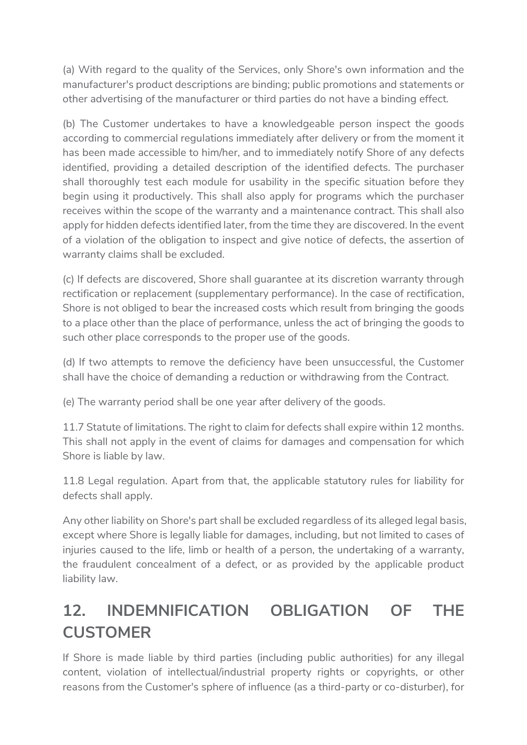(a) With regard to the quality of the Services, only Shore's own information and the manufacturer's product descriptions are binding; public promotions and statements or other advertising of the manufacturer or third parties do not have a binding effect.

(b) The Customer undertakes to have a knowledgeable person inspect the goods according to commercial regulations immediately after delivery or from the moment it has been made accessible to him/her, and to immediately notify Shore of any defects identified, providing a detailed description of the identified defects. The purchaser shall thoroughly test each module for usability in the specific situation before they begin using it productively. This shall also apply for programs which the purchaser receives within the scope of the warranty and a maintenance contract. This shall also apply for hidden defects identified later, from the time they are discovered. In the event of a violation of the obligation to inspect and give notice of defects, the assertion of warranty claims shall be excluded.

(c) If defects are discovered, Shore shall guarantee at its discretion warranty through rectification or replacement (supplementary performance). In the case of rectification, Shore is not obliged to bear the increased costs which result from bringing the goods to a place other than the place of performance, unless the act of bringing the goods to such other place corresponds to the proper use of the goods.

(d) If two attempts to remove the deficiency have been unsuccessful, the Customer shall have the choice of demanding a reduction or withdrawing from the Contract.

(e) The warranty period shall be one year after delivery of the goods.

11.7 Statute of limitations. The right to claim for defects shall expire within 12 months. This shall not apply in the event of claims for damages and compensation for which Shore is liable by law.

11.8 Legal regulation. Apart from that, the applicable statutory rules for liability for defects shall apply.

Any other liability on Shore's part shall be excluded regardless of its alleged legal basis, except where Shore is legally liable for damages, including, but not limited to cases of injuries caused to the life, limb or health of a person, the undertaking of a warranty, the fraudulent concealment of a defect, or as provided by the applicable product liability law.

## 12. INDEMNIFICATION OBLIGATION OF THE **CUSTOMER**

If Shore is made liable by third parties (including public authorities) for any illegal content, violation of intellectual/industrial property rights or copyrights, or other reasons from the Customer's sphere of influence (as a third-party or co-disturber), for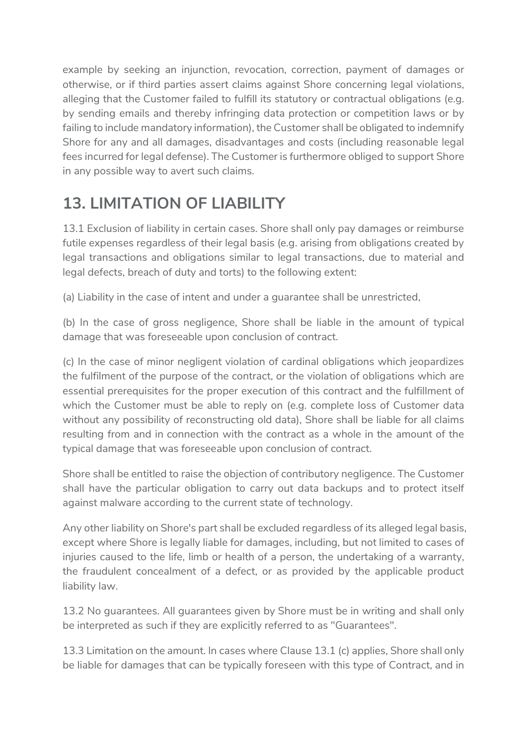example by seeking an injunction, revocation, correction, payment of damages or otherwise, or if third parties assert claims against Shore concerning legal violations, alleging that the Customer failed to fulfill its statutory or contractual obligations (e.g. by sending emails and thereby infringing data protection or competition laws or by failing to include mandatory information), the Customer shall be obligated to indemnify Shore for any and all damages, disadvantages and costs (including reasonable legal fees incurred for legal defense). The Customer is furthermore obliged to support Shore in any possible way to avert such claims.

#### 13. LIMITATION OF LIABILITY

13.1 Exclusion of liability in certain cases. Shore shall only pay damages or reimburse futile expenses regardless of their legal basis (e.g. arising from obligations created by legal transactions and obligations similar to legal transactions, due to material and legal defects, breach of duty and torts) to the following extent:

(a) Liability in the case of intent and under a guarantee shall be unrestricted,

(b) In the case of gross negligence, Shore shall be liable in the amount of typical damage that was foreseeable upon conclusion of contract.

(c) In the case of minor negligent violation of cardinal obligations which jeopardizes the fulfilment of the purpose of the contract, or the violation of obligations which are essential prerequisites for the proper execution of this contract and the fulfillment of which the Customer must be able to reply on (e.g. complete loss of Customer data without any possibility of reconstructing old data), Shore shall be liable for all claims resulting from and in connection with the contract as a whole in the amount of the typical damage that was foreseeable upon conclusion of contract.

Shore shall be entitled to raise the objection of contributory negligence. The Customer shall have the particular obligation to carry out data backups and to protect itself against malware according to the current state of technology.

Any other liability on Shore's part shall be excluded regardless of its alleged legal basis, except where Shore is legally liable for damages, including, but not limited to cases of injuries caused to the life, limb or health of a person, the undertaking of a warranty, the fraudulent concealment of a defect, or as provided by the applicable product liability law.

13.2 No guarantees. All guarantees given by Shore must be in writing and shall only be interpreted as such if they are explicitly referred to as "Guarantees".

13.3 Limitation on the amount. In cases where Clause 13.1 (c) applies, Shore shall only be liable for damages that can be typically foreseen with this type of Contract, and in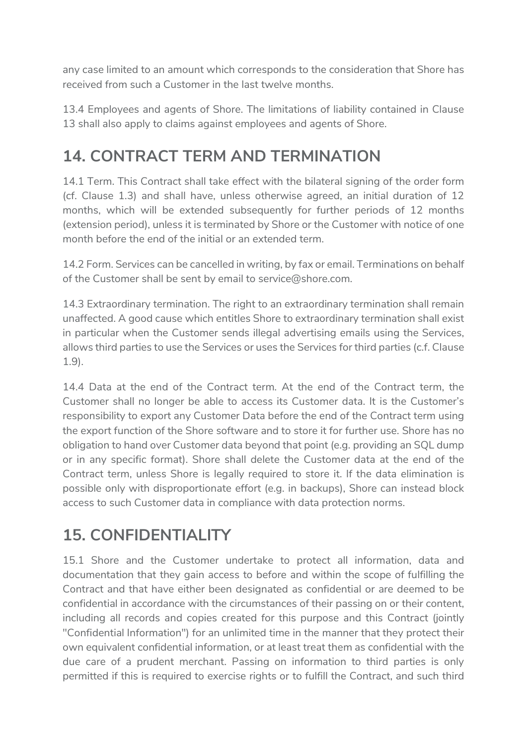any case limited to an amount which corresponds to the consideration that Shore has received from such a Customer in the last twelve months.

13.4 Employees and agents of Shore. The limitations of liability contained in Clause 13 shall also apply to claims against employees and agents of Shore.

### 14. CONTRACT TERM AND TERMINATION

14.1 Term. This Contract shall take effect with the bilateral signing of the order form (cf. Clause 1.3) and shall have, unless otherwise agreed, an initial duration of 12 months, which will be extended subsequently for further periods of 12 months (extension period), unless it is terminated by Shore or the Customer with notice of one month before the end of the initial or an extended term.

14.2 Form. Services can be cancelled in writing, by fax or email. Terminations on behalf of the Customer shall be sent by email to service@shore.com.

14.3 Extraordinary termination. The right to an extraordinary termination shall remain unaffected. A good cause which entitles Shore to extraordinary termination shall exist in particular when the Customer sends illegal advertising emails using the Services, allows third parties to use the Services or uses the Services for third parties (c.f. Clause 1.9).

14.4 Data at the end of the Contract term. At the end of the Contract term, the Customer shall no longer be able to access its Customer data. It is the Customer's responsibility to export any Customer Data before the end of the Contract term using the export function of the Shore software and to store it for further use. Shore has no obligation to hand over Customer data beyond that point (e.g. providing an SQL dump or in any specific format). Shore shall delete the Customer data at the end of the Contract term, unless Shore is legally required to store it. If the data elimination is possible only with disproportionate effort (e.g. in backups), Shore can instead block access to such Customer data in compliance with data protection norms.

#### 15. CONFIDENTIALITY

15.1 Shore and the Customer undertake to protect all information, data and documentation that they gain access to before and within the scope of fulfilling the Contract and that have either been designated as confidential or are deemed to be confidential in accordance with the circumstances of their passing on or their content, including all records and copies created for this purpose and this Contract (jointly "Confidential Information") for an unlimited time in the manner that they protect their own equivalent confidential information, or at least treat them as confidential with the due care of a prudent merchant. Passing on information to third parties is only permitted if this is required to exercise rights or to fulfill the Contract, and such third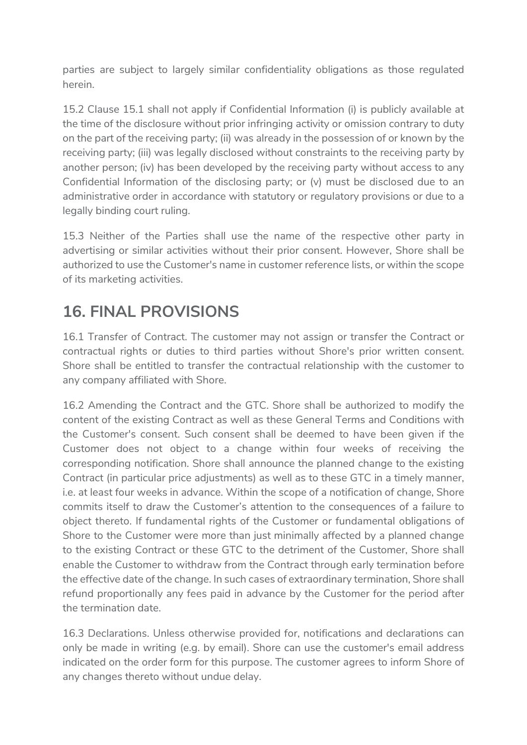parties are subject to largely similar confidentiality obligations as those regulated herein.

15.2 Clause 15.1 shall not apply if Confidential Information (i) is publicly available at the time of the disclosure without prior infringing activity or omission contrary to duty on the part of the receiving party; (ii) was already in the possession of or known by the receiving party; (iii) was legally disclosed without constraints to the receiving party by another person; (iv) has been developed by the receiving party without access to any Confidential Information of the disclosing party; or (v) must be disclosed due to an administrative order in accordance with statutory or regulatory provisions or due to a legally binding court ruling.

15.3 Neither of the Parties shall use the name of the respective other party in advertising or similar activities without their prior consent. However, Shore shall be authorized to use the Customer's name in customer reference lists, or within the scope of its marketing activities.

#### 16. FINAL PROVISIONS

16.1 Transfer of Contract. The customer may not assign or transfer the Contract or contractual rights or duties to third parties without Shore's prior written consent. Shore shall be entitled to transfer the contractual relationship with the customer to any company affiliated with Shore.

16.2 Amending the Contract and the GTC. Shore shall be authorized to modify the content of the existing Contract as well as these General Terms and Conditions with the Customer's consent. Such consent shall be deemed to have been given if the Customer does not object to a change within four weeks of receiving the corresponding notification. Shore shall announce the planned change to the existing Contract (in particular price adjustments) as well as to these GTC in a timely manner, i.e. at least four weeks in advance. Within the scope of a notification of change, Shore commits itself to draw the Customer's attention to the consequences of a failure to object thereto. If fundamental rights of the Customer or fundamental obligations of Shore to the Customer were more than just minimally affected by a planned change to the existing Contract or these GTC to the detriment of the Customer, Shore shall enable the Customer to withdraw from the Contract through early termination before the effective date of the change. In such cases of extraordinary termination, Shore shall refund proportionally any fees paid in advance by the Customer for the period after the termination date.

16.3 Declarations. Unless otherwise provided for, notifications and declarations can only be made in writing (e.g. by email). Shore can use the customer's email address indicated on the order form for this purpose. The customer agrees to inform Shore of any changes thereto without undue delay.